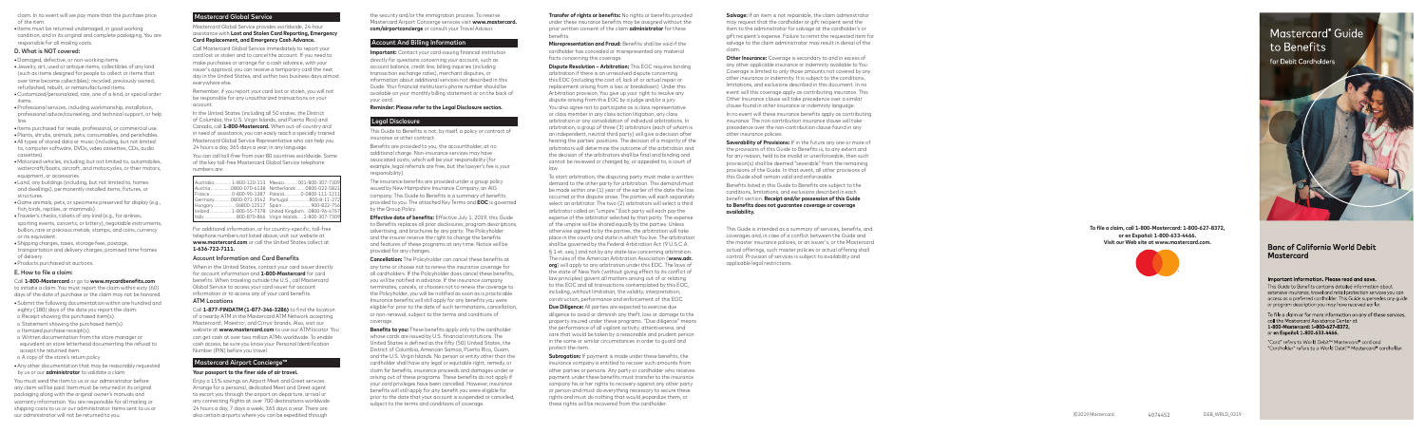to initiate a claim. You must report the claim within sixty (60) to initiate a claim. You must report the claim within sixty (60) days of the date of purchase or the claim may not be honored.

**Important:** Contact your card-issuing financial institution **Important:** Contact your card-issuing financial institution directly for questions concerning your account, such as directly for questions concerning your account, such as account balance, credit line, billing inquiries (including account balance, credit line, billing inquiries (including transaction exchange rates), merchant disputes, or transaction exchange rates), merchant disputes, or information about additional services not described in this information about additional services not described in this Guide. Your financial institution's phone number should be Guide. Your financial institution's phone number should be available on your monthly billing statement or on the back of available on your monthly billing statement or on the back of your card.  $y'$ 

> In no event will these insurance benefits apply as contributing insurance. The non-contribution insurance clause will take precedence over the non-contribution clause found in any other insurance policies.

claim. In no event will we pay more than the purchase price claim. In no event will we pay more than the purchase price of the item. of the item.

**•** Items must be returned undamaged, in good working **•** Items must be returned undamaged, in good working condition, and in its original and complete packaging. You are condition, and in its original and complete packaging. You are responsible for all mailing costs. responsible for all mailing costs.

#### D. What is NOT covered:

- **•**Damaged, defective, or non-working items. **•**Damaged, defective, or non-working items.
- **•**Jewelry, art, used or antique items; collectibles of any kind **•**Jewelry, art, used or antique items; collectibles of any kind (such as items designed for people to collect or items that (such as items designed for people to collect or items that over time become collectibles); recycled, previously owned, over time become collectibles); recycled, previously owned, refurbished, rebuilt, or remanufactured items. refurbished, rebuilt, or remanufactured items.
- **•**Customized/personalized, rare, one of a kind, or special order **•**Customized/personalized, rare, one of a kind, or special order items.
- **•**Professional services, including workmanship, installation, **•**Professional services, including workmanship, installation, professional advice/counseling, and technical support, or help professional advice/counseling, and technical support, or help line.
- **•** Items purchased for resale, professional, or commercial use. **•** Items purchased for resale, professional, or commercial use.
- **•**Plants, shrubs, animals, pets, consumables, and perishables. **•**Plants, shrubs, animals, pets, consumables, and perishables.
- **•**All types of stored data or music (including, but not limited **•**All types of stored data or music (including, but not limited to, computer software, DVDs, video cassettes, CDs, audio to, computer software, DVDs, video cassettes, CDs, audio cassettes). cassettes).
- **•**Motorized vehicles, including, but not limited to, automobiles, **•**Motorized vehicles, including, but not limited to, automobiles, watercraft/boats, aircraft, and motorcycles, or their motors, watercraft/boats, aircraft, and motorcycles, or their motors, equipment, or accessories. equipment, or accessories.
- **•**Land, any buildings (including, but not limited to, homes **•**Land, any buildings (including, but not limited to, homes and dwellings), permanently installed items, fixtures, or and dwellings), permanently installed items, fixtures, or structures. structures.
- **•**Game animals, pets, or specimens preserved for display (e.g., **•**Game animals, pets, or specimens preserved for display (e.g., fish, birds, reptiles, or mammals). fish, birds, reptiles, or mammals).
- **•**Traveler's checks, tickets of any kind (e.g., for airlines, **•**Traveler's checks, tickets of any kind (e.g., for airlines, sporting events, concerts, or lottery), negotiable instruments, sporting events, concerts, or lottery), negotiable instruments, bullion, rare or precious metals, stamps, and coins, currency bullion, rare or precious metals, stamps, and coins, currency
- or its equivalent. or its equivalent. **•**Shipping charges, taxes, storage fees, postage, **•**Shipping charges, taxes, storage fees, postage,
- transportation and delivery charges; promised time frames transportation and delivery charges; promised time frames of delivery. of delivery.
- **•**Products purchased at auctions. **•**Products purchased at auctions.

#### E. How to file a claim: E. How to file a claim:

#### Call **1-800-Mastercard** or go to **www.mycardbenefits.com** Call **1-800-Mastercard** or go to **www.mycardbenefits.com**

- **•**Submit the following documentation within one hundred and **•**Submit the following documentation within one hundred and eighty (180) days of the date you report the claim:
- o Receipt showing the purchased item(s).
- o Statement showing the purchased item(s).
- o Itemized purchase receipt(s).
- o Written documentation from the store manager or o Written documentation from the store manager or equivalent on store letterhead documenting the refusal to equivalent on store letterhead documenting the refusal to accept the returned item. accept the returned item.
- o A copy of the store's return policy. o A copy of the store's return policy.
- **•**Any other documentation that may be reasonably requested **•**Any other documentation that may be reasonably requested by us or our **administrator** to validate a claim. by us or our **administrator** to validate a claim.

You must send the item to us or our administrator before You must send the item to us or our administrator before any claim will be paid. Item must be returned in its original any claim will be paid. Item must be returned in its original packaging along with the original owner's manuals and packaging along with the original owner's manuals and warranty information. You are responsible for all mailing or warranty information. You are responsible for all mailing or shipping costs to us or our administrator. Items sent to us or shipping costs to us or our administrator. Items sent to us or our administrator will not be returned to you. our administrator will not be returned to you.

## Mastercard Global Service Mastercard Global Service

Mastercard Global Service provides worldwide, 24-hour Mastercard Global Service provides worldwide, 24-hour assistance with **Lost and Stolen Card Reporting, Emergency**  assistance with **Lost and Stolen Card Reporting, Emergency Card Replacement, and Emergency Cash Advance. Card Replacement, and Emergency Cash Advance.**

Call Mastercard Global Service immediately to report your Call Mastercard Global Service immediately to report your card lost or stolen and to cancel the account. If you need to card lost or stolen and to cancel the account. If you need to make purchases or arrange for a cash advance, with your make purchases or arrange for a cash advance, with your issuer's approval, you can receive a temporary card the next issuer's approval, you can receive a temporary card the next day in the United States, and within two business days almost day in the United States, and within two business days almost everywhere else. everywhere else.

Remember, if you report your card lost or stolen, you will not Remember, if you report your card lost or stolen, you will not be responsible for any unauthorized transactions on your be responsible for any unauthorized transactions on your account. account.

In the United States (including all 50 states, the District In the United States (including all 50 states, the District of Columbia, the U.S. Virgin Islands, and Puerto Rico) and of Columbia, the U.S. Virgin Islands, and Puerto Rico) and Canada, call **1-800-Mastercard.** When out-of-country and Canada, call **1-800-Mastercard.** When out-of-country and in need of assistance, you can easily reach a specially trained in need of assistance, you can easily reach a specially trained Mastercard Global Service Representative who can help you Mastercard Global Service Representative who can help you 24 hours a day, 365 days a year, in any language. 24 hours a day, 365 days a year, in any language.

You can call toll-free from over 80 countries worldwide. Some You can call toll-free from over 80 countries worldwide. Some of the key toll-free Mastercard Global Service telephone of the key toll-free Mastercard Global Service telephone numbers are: numbers are:

|  | Australia  1-800-120-113    Mexico  001-800-307-7309 |
|--|------------------------------------------------------|
|  | Austria 0800-070-6138 Netherlands 0800-022-5821      |
|  | France 0-800-90-1387    Poland0-0800-111-1211        |
|  |                                                      |
|  | Hungary 06800-12517 Spain 900-822-756                |
|  | Ireland 1-800-55-7378 United Kingdom0800-96-4767     |
|  |                                                      |
|  |                                                      |

For additional information, or for country-specific, toll-free For additional information, or for country-specific, toll-free telephone numbers not listed above, visit our website at telephone numbers not listed above, visit our website at **www.mastercard.com** or call the United States collect at **www.mastercard.com** or call the United States collect at **1-636-722-7111. 1-636-722-7111.**

#### Account Information and Card Benefits Account Information and Card Benefits

When in the United States, contact your card issuer directly When in the United States, contact your card issuer directly for account information and **1-800-Mastercard** for card for account information and **1-800-Mastercard** for card benefits. When traveling outside the U.S., call Mastercard benefits. When traveling outside the U.S., call Mastercard Global Service to access your card issuer for account Global Service to access your card issuer for account information or to access any of your card benefits. information or to access any of your card benefits.

# ATM Locations ATM Locations

Call **1-877-FINDATM (1-877-346-3286)** to find the location Call **1-877-FINDATM (1-877-346-3286)** to find the location of a nearby ATM in the Mastercard ATM Network accepting of a nearby ATM in the Mastercard ATM Network accepting Mastercard ®, Maestro ®, and Cirrus ® brands. Also, visit our Mastercard ®, Maestro ®, and Cirrus ® brands. Also, visit our website at **www.mastercard.com** to use our ATM locator. You website at **www.mastercard.com** to use our ATM locator. You can get cash at over two million ATMs worldwide. To enable can get cash at over two million ATMs worldwide. To enable cash access, be sure you know your Personal Identification cash access, be sure you know your Personal Identification Number (PIN) before you travel. Number (PIN) before you travel.

**Salvage:** If an item is not repairable, the claim administrator may request that the cardholder or gift recipient send the item to the administrator for salvage at the cardholder's or gift recipient's expense. Failure to remit the requested item for salvage to the claim administrator may result in denial of the claim.

# Mastercard Airport Concierge™ Mastercard Airport Concierge™

#### **Your passport to the finer side of air travel. Your passport to the finer side of air travel.**

**Other Insurance:** Coverage is secondary to and in excess of any other applicable insurance or indemnity available to You. Coverage is limited to only those amounts not covered by any other insurance or indemnity. It is subject to the conditions, limitations, and exclusions described in this document. In no event will this coverage apply as contributing insurance. This Other Insurance clause will take precedence over a similar clause found in other insurance or indemnity language.

Enjoy a 15% savings on Airport Meet and Greet services. Enjoy a 15% savings on Airport Meet and Greet services. Arrange for a personal, dedicated Meet and Greet agent Arrange for a personal, dedicated Meet and Greet agent to escort you through the airport on departure, arrival or to escort you through the airport on departure, arrival or any connecting flights at over 700 destinations worldwide any connecting flights at over 700 destinations worldwide 24 hours a day, 7 days a week, 365 days a year. There are 24 hours a day, 7 days a week, 365 days a year. There are also certain airports where you can be expedited through also certain airports where you can be expedited through

the security and/or the immigration process. To reserve the security and/or the immigration process. To reserve Mastercard Airport Concierge services visit **www.mastercard.** Mastercard Airport Concierge services visit **www.mastercard. com/airportconcierge** or consult your Travel Advisor. **com/airportconcierge** or consult your Travel Advisor.

## Account And Billing Information Account And Billing Information

**Severability of Provisions:** If in the future any one or more of the provisions of this Guide to Benefits is, to any extent and for any reason, held to be invalid or unenforceable, then such provision(s) shall be deemed "severable" from the remaining provisions of the Guide. In that event, all other provisions of this Guide shall remain valid and enforceable.

#### **Reminder: Please refer to the Legal Disclosure section. Reminder: Please refer to the Legal Disclosure section.**

## Legal Disclosure Legal Disclosure

Benefits listed in this Guide to Benefits are subject to the conditions, limitations, and exclusions described in each benefit section. **Receipt and/or possession of this Guide to Benefits does not guarantee coverage or coverage availability.**

This Guide to Benefits is not, by itself, a policy or contract of This Guide to Benefits is not, by itself, a policy or contract of insurance or other contract. insurance or other contract.

Benefits are provided to you, the accountholder, at no Benefits are provided to you, the accountholder, at no additional charge. Non-insurance services may have additional charge. Non-insurance services may have associated costs, which will be your responsibility (for associated costs, which will be your responsibility (for example, legal referrals are free, but the lawyer's fee is your example, legal referrals are free, but the lawyer's fee is your responsibility). responsibility).

> This Guide is intended as a summary of services, benefits, and coverages and, in case of a conflict between the Guide and the master insurance policies, or an issuer's, or the Mastercard actual offerings, such master policies or actual offering shall control. Provision of services is subject to availability and applicable legal restrictions.

The insurance benefits are provided under a group policy The insurance benefits are provided under a group policy issued by New Hampshire Insurance Company, an AIG issued by New Hampshire Insurance Company, an AIG company. This Guide to Benefits is a summary of benefits company. This Guide to Benefits is a summary of benefits provided to you. The attached Key Terms and **EOC** is governed provided to you. The attached Key Terms and **EOC** is governed by the Group Policy. by the Group Policy.

**Effective date of benefits:** Effective July 1, 2019, this Guide **Effective date of benefits:** Effective July 1, 2019, this Guide to Benefits replaces all prior disclosures, program descriptions, to Benefits replaces all prior disclosures, program descriptions, advertising, and brochures by any party. The Policyholder advertising, and brochures by any party. The Policyholder and the insurer reserve the right to change the benefits and the insurer reserve the right to change the benefits and features of these programs at any time. Notice will be and features of these programs at any time. Notice will be provided for any changes. provided for any changes.

**Cancellation:** The Policyholder can cancel these benefits at **Cancellation:** The Policyholder can cancel these benefits at any time or choose not to renew the insurance coverage for any time or choose not to renew the insurance coverage for all cardholders. If the Policyholder does cancel these benefits, all cardholders. If the Policyholder does cancel these benefits, you will be notified in advance. If the insurance company you will be notified in advance. If the insurance company terminates, cancels, or chooses not to renew the coverage to terminates, cancels, or chooses not to renew the coverage to the Policyholder, you will be notified as soon as is practicable. the Policyholder, you will be notified as soon as is practicable. Insurance benefits will still apply for any benefits you were Insurance benefits will still apply for any benefits you were eligible for prior to the date of such terminations, cancellation, eligible for prior to the date of such terminations, cancellation, or non-renewal, subject to the terms and conditions of or non-renewal, subject to the terms and conditions of coverage. coverage.

**Benefits to you:** These benefits apply only to the cardholder **Benefits to you:** These benefits apply only to the cardholder whose cards are issued by U.S. financial institutions. The whose cards are issued by U.S. financial institutions. The United States is defined as the fifty (50) United States, the United States is defined as the fifty (50) United States, the District of Columbia, American Samoa, Puerto Rico, Guam, District of Columbia, American Samoa, Puerto Rico, Guam, and the U.S. Virgin Islands. No person or entity other than the and the U.S. Virgin Islands. No person or entity other than the cardholder shall have any legal or equitable right, remedy, or cardholder shall have any legal or equitable right, remedy, or claim for benefits, insurance proceeds and damages under or claim for benefits, insurance proceeds and damages under or arising out of these programs. These benefits do not apply if arising out of these programs. These benefits do not apply if your card privileges have been cancelled. However, insurance your card privileges have been cancelled. However, insurance benefits will still apply for any benefit you were eligible for benefits will still apply for any benefit you were eligible for prior to the date that your account is suspended or cancelled, prior to the date that your account is suspended or cancelled, subject to the terms and conditions of coverage. subject to the terms and conditions of coverage.

# **Transfer of rights or benefits:** No rights or benefits provided **Transfer of rights or benefits:** No rights or benefits provided

under these insurance benefits may be assigned without the under these insurance benefits may be assigned without the prior written consent of the claim **administrator** for these prior written consent of the claim **administrator** for these benefits.

#### **Misrepresentation and Fraud:** Benefits shall be void if the **Misrepresentation and Fraud:** Benefits shall be void if the cardholder has concealed or misrepresented any material cardholder has concealed or misrepresented any material facts concerning this coverage. facts concerning this coverage.

**Dispute Resolution – Arbitration:** This EOC requires binding **Dispute Resolution – Arbitration:** This EOC requires binding arbitration if there is an unresolved dispute concerning arbitration if there is an unresolved dispute concerning this EOC (including the cost of, lack of or actual repair or this EOC (including the cost of, lack of or actual repair or replacement arising from a loss or breakdown). Under this replacement arising from a loss or breakdown). Under this Arbitration provision, You give up your right to resolve any Arbitration provision, You give up your right to resolve any dispute arising from this EOC by a judge and/or a jury. dispute arising from this EOC by a judge and/or a jury. You also agree not to participate as a class representative You also agree not to participate as a class representative or class member in any class action litigation, any class or class member in any class action litigation, any class arbitration or any consolidation of individual arbitrations. In arbitration or any consolidation of individual arbitrations. In arbitration, a group of three (3) arbitrators (each of whom is arbitration, a group of three (3) arbitrators (each of whom is an independent, neutral third party) will give a decision after an independent, neutral third party) will give a decision after hearing the parties' positions. The decision of a majority of the hearing the parties' positions. The decision of a majority of the arbitrators will determine the outcome of the arbitration and arbitrators will determine the outcome of the arbitration and the decision of the arbitrators shall be final and binding and the decision of the arbitrators shall be final and binding and cannot be reviewed or changed by, or appealed to, a court of cannot be reviewed or changed by, or appealed to, a court of law.

To start arbitration, the disputing party must make a written To start arbitration, the disputing party must make a written demand to the other party for arbitration. This demand must demand to the other party for arbitration. This demand must be made within one (1) year of the earlier of the date the loss be made within one (1) year of the earlier of the date the loss occurred or the dispute arose. The parties will each separately occurred or the dispute arose. The parties will each separately select an arbitrator. The two (2) arbitrators will select a third arbitrator called an "umpire." Each party will each pay the arbitrator called an "umpire." Each party will each pay the expense of the arbitrator selected by that party. The expense expense of the arbitrator selected by that party. The expense of the umpire will be shared equally by the parties. Unless of the umpire will be shared equally by the parties. Unless otherwise agreed to by the parties, the arbitration will take otherwise agreed to by the parties, the arbitration will take place in the county and state in which You live. The arbitration place in the county and state in which You live. The arbitration shall be governed by the Federal Arbitration Act (9 U.S.C.A. shall be governed by the Federal Arbitration Act (9 U.S.C.A. § 1 et. seq.) and not by any state law concerning arbitration. § 1 et. seq.) and not by any state law concerning arbitration. The rules of the American Arbitration Association (**www.adr.** The rules of the American Arbitration Association (**www.adr. org**) will apply to any arbitration under this EOC. The laws of **org**) will apply to any arbitration under this EOC. The laws of the state of New York (without giving effect to its conflict of the state of New York (without giving effect to its conflict of law principles) govern all matters arising out of or relating law principles) govern all matters arising out of or relating to this EOC and all transactions contemplated by this EOC, to this EOC and all transactions contemplated by this EOC, including, without limitation, the validity, interpretation, including, without limitation, the validity, interpretation, construction, performance and enforcement of this EOC. construction, performance and enforcement of this EOC.

**Due Diligence:** All parties are expected to exercise due **Due Diligence:** All parties are expected to exercise due diligence to avoid or diminish any theft, loss or damage to the diligence to avoid or diminish any theft, loss or damage to the property insured under these programs. "Due diligence" means property insured under these programs. "Due diligence" means the performance of all vigilant activity, attentiveness, and the performance of all vigilant activity, attentiveness, and care that would be taken by a reasonable and prudent person care that would be taken by a reasonable and prudent person in the same or similar circumstances in order to guard and in the same or similar circumstances in order to guard and protect the item. protect the item.

**Subrogation:** If payment is made under these benefits, the **Subrogation:** If payment is made under these benefits, the insurance company is entitled to recover such amounts from insurance company is entitled to recover such amounts from other parties or persons. Any party or cardholder who receives other parties or persons. Any party or cardholder who receives payment under these benefits must transfer to the insurance payment under these benefits must transfer to the insurance company his or her rights to recovery against any other party company his or her rights to recovery against any other party or person and must do everything necessary to secure these or person and must do everything necessary to secure these rights and must do nothing that would jeopardize them, or rights and must do nothing that would jeopardize them, or these rights will be recovered from the cardholder. these rights will be recovered from the cardholder.

# **Mastercard** Guide to Benefits

for Debit Cardholders

# **Banc of California World Debit Mastercard**

#### Important information. Please read and save.

This Guide to Benefits contains detailed information about extensive insurance, travel and retail protection services you can access as a preferred cardholder. This Guide supersedes any quide or program description you may have received earlier.

To file a claim or for more information on any of these services, call the Mastercard Assistance Center at 1-800-Mastercard: 1-800-627-8372. or en Español: 1-800-633-4466.

"Card" refers to World Debit™ Mastercard® card and "Cardholder" refers to a World Debit™ Mastercard® cardholder.

#### **To file a claim, call 1-800-Mastercard: 1-800-627-8372, or en Español: 1-800-633-4466. Visit our Web site at www.mastercard.com.**